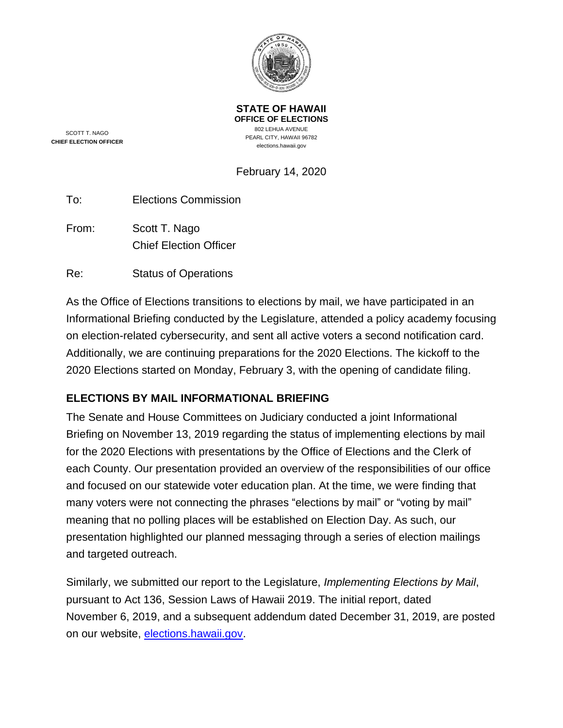

**STATE OF HAWAII OFFICE OF ELECTIONS** 802 LEHUA AVENUE PEARL CITY, HAWAII 96782 elections.hawaii.gov

SCOTT T. NAGO **CHIEF ELECTION OFFICER**

# February 14, 2020

| <b>Elections Commission</b> |
|-----------------------------|
|                             |

From: Scott T. Nago Chief Election Officer

Re: Status of Operations

As the Office of Elections transitions to elections by mail, we have participated in an Informational Briefing conducted by the Legislature, attended a policy academy focusing on election-related cybersecurity, and sent all active voters a second notification card. Additionally, we are continuing preparations for the 2020 Elections. The kickoff to the 2020 Elections started on Monday, February 3, with the opening of candidate filing.

## **ELECTIONS BY MAIL INFORMATIONAL BRIEFING**

The Senate and House Committees on Judiciary conducted a joint Informational Briefing on November 13, 2019 regarding the status of implementing elections by mail for the 2020 Elections with presentations by the Office of Elections and the Clerk of each County. Our presentation provided an overview of the responsibilities of our office and focused on our statewide voter education plan. At the time, we were finding that many voters were not connecting the phrases "elections by mail" or "voting by mail" meaning that no polling places will be established on Election Day. As such, our presentation highlighted our planned messaging through a series of election mailings and targeted outreach.

Similarly, we submitted our report to the Legislature, *Implementing Elections by Mail*, pursuant to Act 136, Session Laws of Hawaii 2019. The initial report, dated November 6, 2019, and a subsequent addendum dated December 31, 2019, are posted on our website, [elections.hawaii.gov.](https://elections.hawaii.gov/)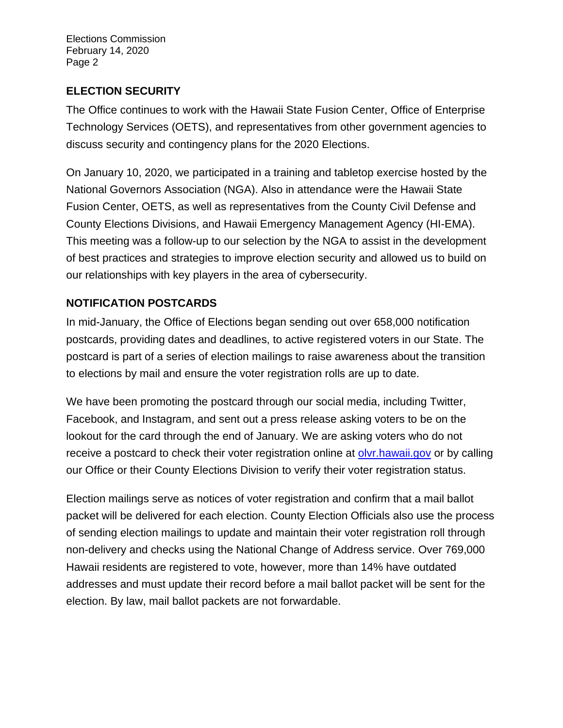## **ELECTION SECURITY**

The Office continues to work with the Hawaii State Fusion Center, Office of Enterprise Technology Services (OETS), and representatives from other government agencies to discuss security and contingency plans for the 2020 Elections.

On January 10, 2020, we participated in a training and tabletop exercise hosted by the National Governors Association (NGA). Also in attendance were the Hawaii State Fusion Center, OETS, as well as representatives from the County Civil Defense and County Elections Divisions, and Hawaii Emergency Management Agency (HI-EMA). This meeting was a follow-up to our selection by the NGA to assist in the development of best practices and strategies to improve election security and allowed us to build on our relationships with key players in the area of cybersecurity.

## **NOTIFICATION POSTCARDS**

In mid-January, the Office of Elections began sending out over 658,000 notification postcards, providing dates and deadlines, to active registered voters in our State. The postcard is part of a series of election mailings to raise awareness about the transition to elections by mail and ensure the voter registration rolls are up to date.

We have been promoting the postcard through our social media, including Twitter, Facebook, and Instagram, and sent out a press release asking voters to be on the lookout for the card through the end of January. We are asking voters who do not receive a postcard to check their voter registration online at olyr.hawaii.gov or by calling our Office or their County Elections Division to verify their voter registration status.

Election mailings serve as notices of voter registration and confirm that a mail ballot packet will be delivered for each election. County Election Officials also use the process of sending election mailings to update and maintain their voter registration roll through non-delivery and checks using the National Change of Address service. Over 769,000 Hawaii residents are registered to vote, however, more than 14% have outdated addresses and must update their record before a mail ballot packet will be sent for the election. By law, mail ballot packets are not forwardable.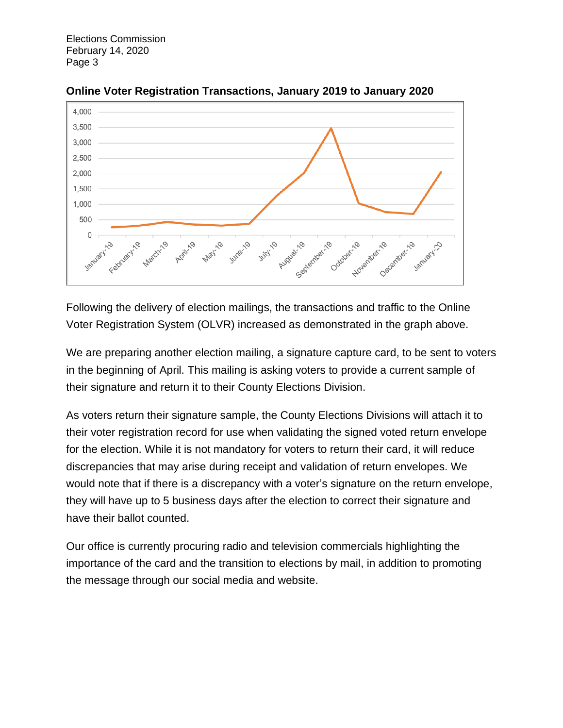

**Online Voter Registration Transactions, January 2019 to January 2020**

Following the delivery of election mailings, the transactions and traffic to the Online Voter Registration System (OLVR) increased as demonstrated in the graph above.

We are preparing another election mailing, a signature capture card, to be sent to voters in the beginning of April. This mailing is asking voters to provide a current sample of their signature and return it to their County Elections Division.

As voters return their signature sample, the County Elections Divisions will attach it to their voter registration record for use when validating the signed voted return envelope for the election. While it is not mandatory for voters to return their card, it will reduce discrepancies that may arise during receipt and validation of return envelopes. We would note that if there is a discrepancy with a voter's signature on the return envelope, they will have up to 5 business days after the election to correct their signature and have their ballot counted.

Our office is currently procuring radio and television commercials highlighting the importance of the card and the transition to elections by mail, in addition to promoting the message through our social media and website.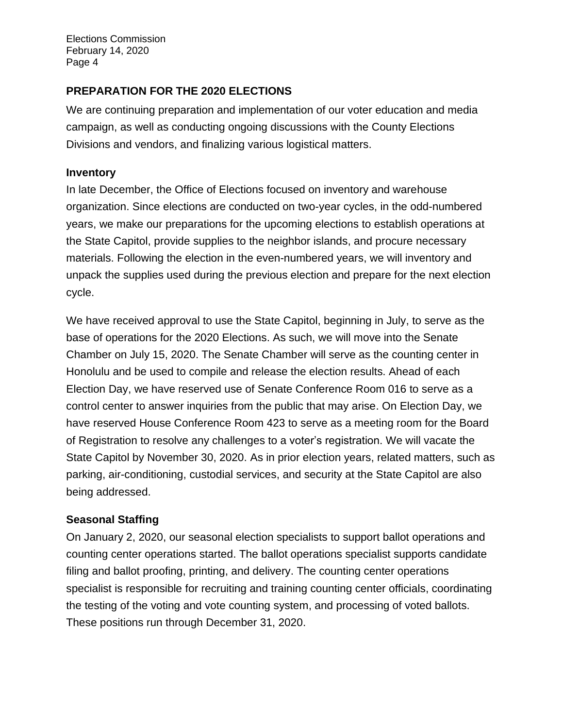## **PREPARATION FOR THE 2020 ELECTIONS**

We are continuing preparation and implementation of our voter education and media campaign, as well as conducting ongoing discussions with the County Elections Divisions and vendors, and finalizing various logistical matters.

#### **Inventory**

In late December, the Office of Elections focused on inventory and warehouse organization. Since elections are conducted on two-year cycles, in the odd-numbered years, we make our preparations for the upcoming elections to establish operations at the State Capitol, provide supplies to the neighbor islands, and procure necessary materials. Following the election in the even-numbered years, we will inventory and unpack the supplies used during the previous election and prepare for the next election cycle.

We have received approval to use the State Capitol, beginning in July, to serve as the base of operations for the 2020 Elections. As such, we will move into the Senate Chamber on July 15, 2020. The Senate Chamber will serve as the counting center in Honolulu and be used to compile and release the election results. Ahead of each Election Day, we have reserved use of Senate Conference Room 016 to serve as a control center to answer inquiries from the public that may arise. On Election Day, we have reserved House Conference Room 423 to serve as a meeting room for the Board of Registration to resolve any challenges to a voter's registration. We will vacate the State Capitol by November 30, 2020. As in prior election years, related matters, such as parking, air-conditioning, custodial services, and security at the State Capitol are also being addressed.

## **Seasonal Staffing**

On January 2, 2020, our seasonal election specialists to support ballot operations and counting center operations started. The ballot operations specialist supports candidate filing and ballot proofing, printing, and delivery. The counting center operations specialist is responsible for recruiting and training counting center officials, coordinating the testing of the voting and vote counting system, and processing of voted ballots. These positions run through December 31, 2020.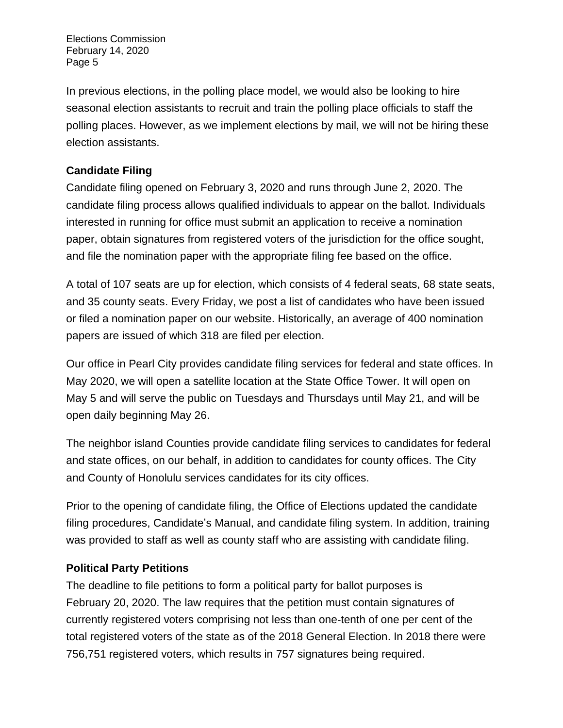In previous elections, in the polling place model, we would also be looking to hire seasonal election assistants to recruit and train the polling place officials to staff the polling places. However, as we implement elections by mail, we will not be hiring these election assistants.

## **Candidate Filing**

Candidate filing opened on February 3, 2020 and runs through June 2, 2020. The candidate filing process allows qualified individuals to appear on the ballot. Individuals interested in running for office must submit an application to receive a nomination paper, obtain signatures from registered voters of the jurisdiction for the office sought, and file the nomination paper with the appropriate filing fee based on the office.

A total of 107 seats are up for election, which consists of 4 federal seats, 68 state seats, and 35 county seats. Every Friday, we post a list of candidates who have been issued or filed a nomination paper on our website. Historically, an average of 400 nomination papers are issued of which 318 are filed per election.

Our office in Pearl City provides candidate filing services for federal and state offices. In May 2020, we will open a satellite location at the State Office Tower. It will open on May 5 and will serve the public on Tuesdays and Thursdays until May 21, and will be open daily beginning May 26.

The neighbor island Counties provide candidate filing services to candidates for federal and state offices, on our behalf, in addition to candidates for county offices. The City and County of Honolulu services candidates for its city offices.

Prior to the opening of candidate filing, the Office of Elections updated the candidate filing procedures, Candidate's Manual, and candidate filing system. In addition, training was provided to staff as well as county staff who are assisting with candidate filing.

## **Political Party Petitions**

The deadline to file petitions to form a political party for ballot purposes is February 20, 2020. The law requires that the petition must contain signatures of currently registered voters comprising not less than one-tenth of one per cent of the total registered voters of the state as of the 2018 General Election. In 2018 there were 756,751 registered voters, which results in 757 signatures being required.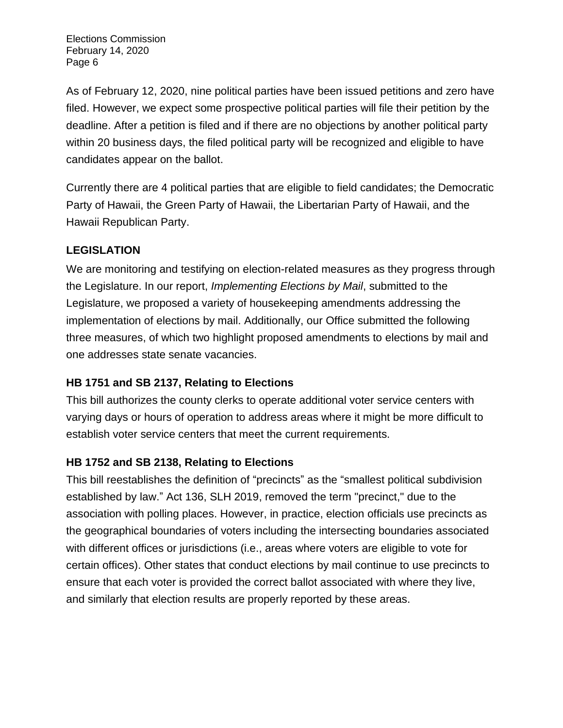As of February 12, 2020, nine political parties have been issued petitions and zero have filed. However, we expect some prospective political parties will file their petition by the deadline. After a petition is filed and if there are no objections by another political party within 20 business days, the filed political party will be recognized and eligible to have candidates appear on the ballot.

Currently there are 4 political parties that are eligible to field candidates; the Democratic Party of Hawaii, the Green Party of Hawaii, the Libertarian Party of Hawaii, and the Hawaii Republican Party.

## **LEGISLATION**

We are monitoring and testifying on election-related measures as they progress through the Legislature. In our report, *Implementing Elections by Mail*, submitted to the Legislature, we proposed a variety of housekeeping amendments addressing the implementation of elections by mail. Additionally, our Office submitted the following three measures, of which two highlight proposed amendments to elections by mail and one addresses state senate vacancies.

## **HB 1751 and SB 2137, Relating to Elections**

This bill authorizes the county clerks to operate additional voter service centers with varying days or hours of operation to address areas where it might be more difficult to establish voter service centers that meet the current requirements.

## **HB 1752 and SB 2138, Relating to Elections**

This bill reestablishes the definition of "precincts" as the "smallest political subdivision established by law." Act 136, SLH 2019, removed the term "precinct," due to the association with polling places. However, in practice, election officials use precincts as the geographical boundaries of voters including the intersecting boundaries associated with different offices or jurisdictions (i.e., areas where voters are eligible to vote for certain offices). Other states that conduct elections by mail continue to use precincts to ensure that each voter is provided the correct ballot associated with where they live, and similarly that election results are properly reported by these areas.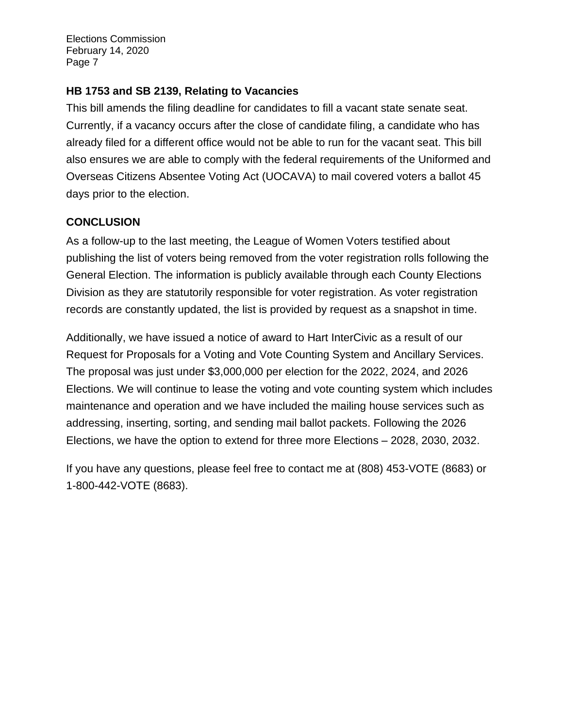## **HB 1753 and SB 2139, Relating to Vacancies**

This bill amends the filing deadline for candidates to fill a vacant state senate seat. Currently, if a vacancy occurs after the close of candidate filing, a candidate who has already filed for a different office would not be able to run for the vacant seat. This bill also ensures we are able to comply with the federal requirements of the Uniformed and Overseas Citizens Absentee Voting Act (UOCAVA) to mail covered voters a ballot 45 days prior to the election.

## **CONCLUSION**

As a follow-up to the last meeting, the League of Women Voters testified about publishing the list of voters being removed from the voter registration rolls following the General Election. The information is publicly available through each County Elections Division as they are statutorily responsible for voter registration. As voter registration records are constantly updated, the list is provided by request as a snapshot in time.

Additionally, we have issued a notice of award to Hart InterCivic as a result of our Request for Proposals for a Voting and Vote Counting System and Ancillary Services. The proposal was just under \$3,000,000 per election for the 2022, 2024, and 2026 Elections. We will continue to lease the voting and vote counting system which includes maintenance and operation and we have included the mailing house services such as addressing, inserting, sorting, and sending mail ballot packets. Following the 2026 Elections, we have the option to extend for three more Elections – 2028, 2030, 2032.

If you have any questions, please feel free to contact me at (808) 453-VOTE (8683) or 1-800-442-VOTE (8683).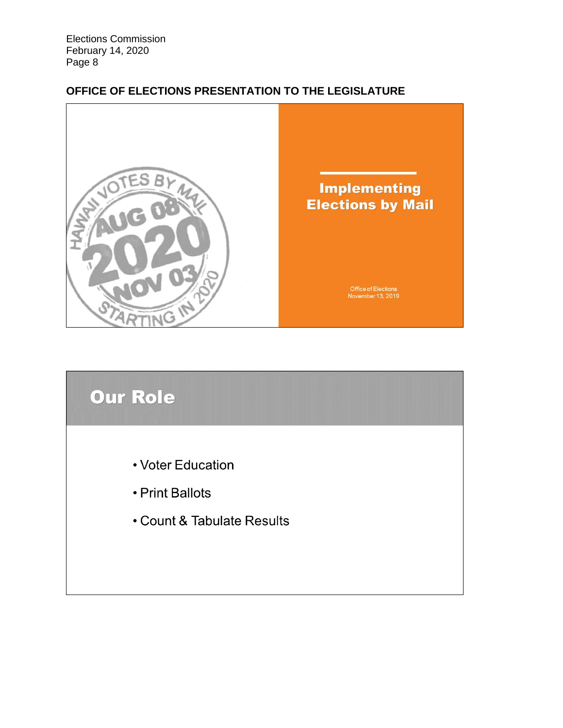## **OFFICE OF ELECTIONS PRESENTATION TO THE LEGISLATURE**



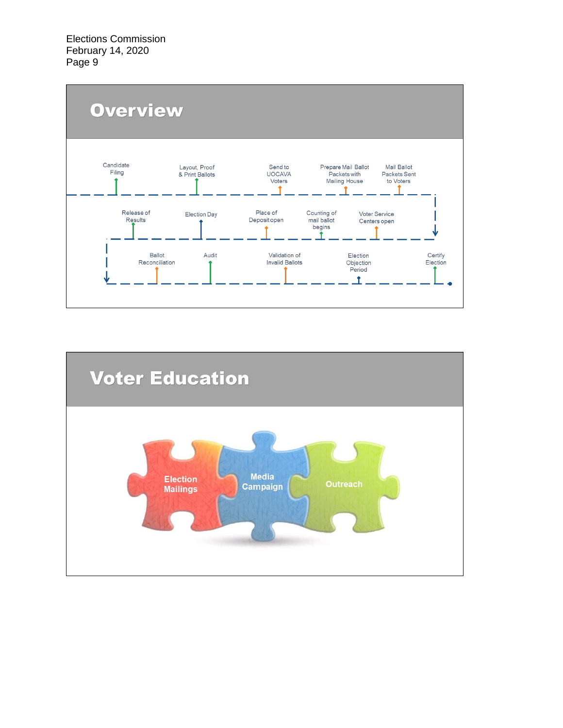

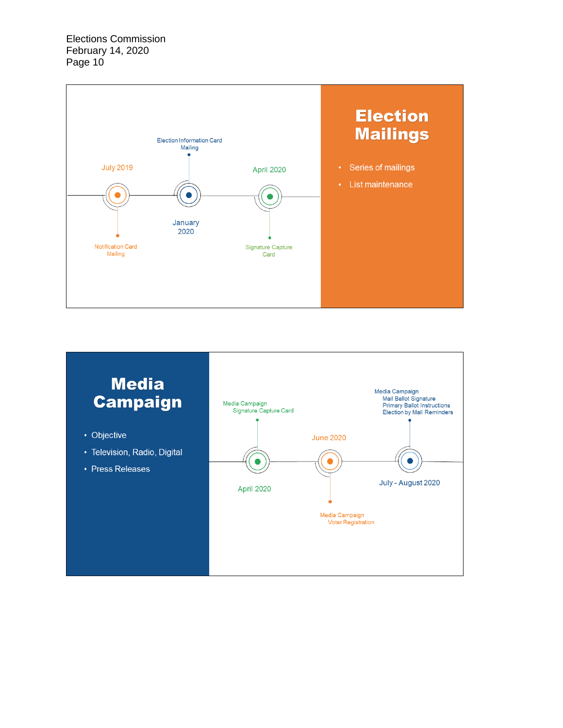

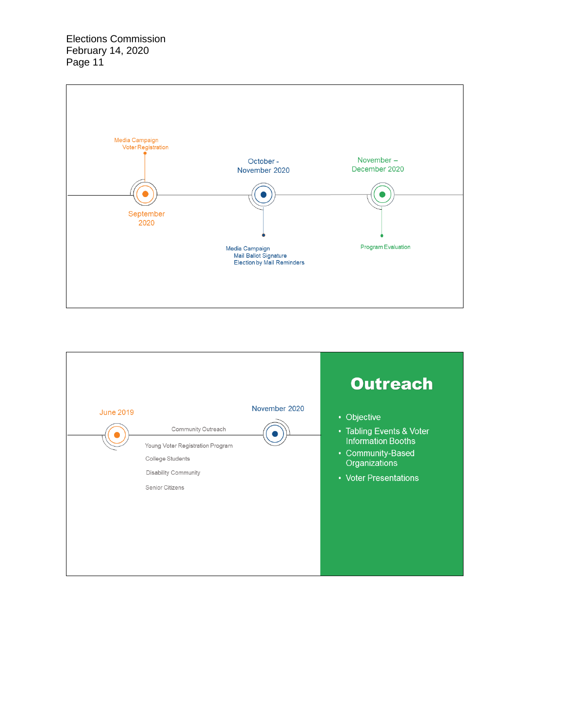

|                  |                                                                                                                              |               | <b>Outreach</b>                                                                                                                     |
|------------------|------------------------------------------------------------------------------------------------------------------------------|---------------|-------------------------------------------------------------------------------------------------------------------------------------|
| <b>June 2019</b> | Community Outreach<br>Young Voter Registration Program<br>College Students<br><b>Disability Community</b><br>Senior Citizens | November 2020 | • Objective<br>• Tabling Events & Voter<br><b>Information Booths</b><br>• Community-Based<br>Organizations<br>• Voter Presentations |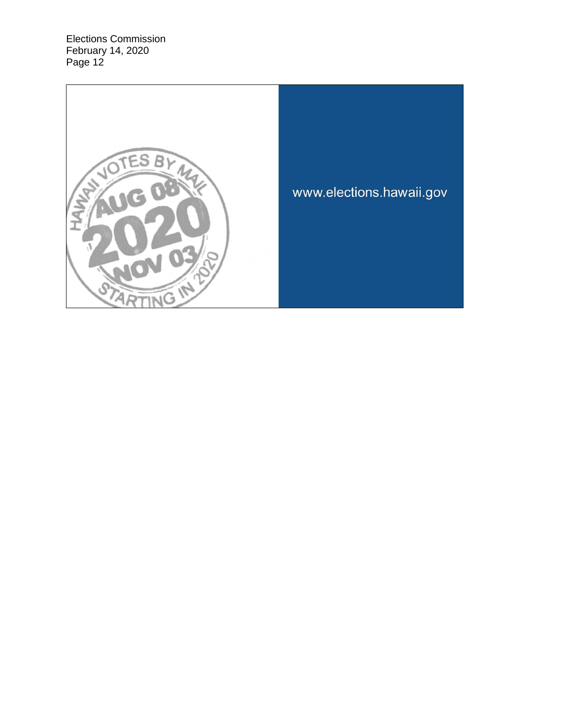